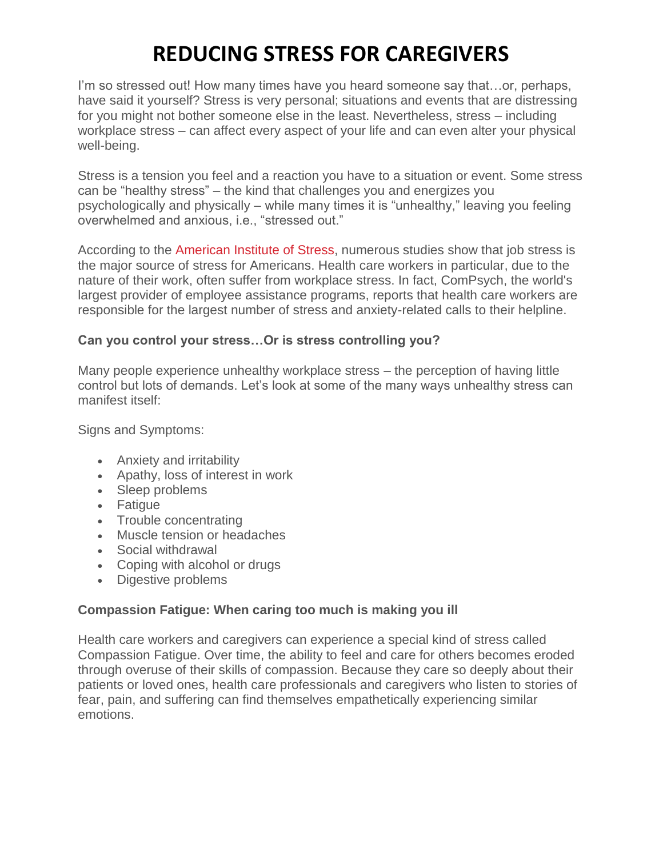# **REDUCING STRESS FOR CAREGIVERS**

I'm so stressed out! How many times have you heard someone say that…or, perhaps, have said it yourself? Stress is very personal; situations and events that are distressing for you might not bother someone else in the least. Nevertheless, stress – including workplace stress – can affect every aspect of your life and can even alter your physical well-being.

Stress is a tension you feel and a reaction you have to a situation or event. Some stress can be "healthy stress" – the kind that challenges you and energizes you psychologically and physically – while many times it is "unhealthy," leaving you feeling overwhelmed and anxious, i.e., "stressed out."

According to the [American Institute of Stress,](http://www.stress.org/) numerous studies show that job stress is the major source of stress for Americans. Health care workers in particular, due to the nature of their work, often suffer from workplace stress. In fact, ComPsych, the world's largest provider of employee assistance programs, reports that health care workers are responsible for the largest number of stress and anxiety-related calls to their helpline.

#### **Can you control your stress…Or is stress controlling you?**

Many people experience unhealthy workplace stress – the perception of having little control but lots of demands. Let's look at some of the many ways unhealthy stress can manifest itself:

Signs and Symptoms:

- Anxiety and irritability
- Apathy, loss of interest in work
- Sleep problems
- Fatigue
- Trouble concentrating
- Muscle tension or headaches
- Social withdrawal
- Coping with alcohol or drugs
- Digestive problems

#### **Compassion Fatigue: When caring too much is making you ill**

Health care workers and caregivers can experience a special kind of stress called Compassion Fatigue. Over time, the ability to feel and care for others becomes eroded through overuse of their skills of compassion. Because they care so deeply about their patients or loved ones, health care professionals and caregivers who listen to stories of fear, pain, and suffering can find themselves empathetically experiencing similar emotions.